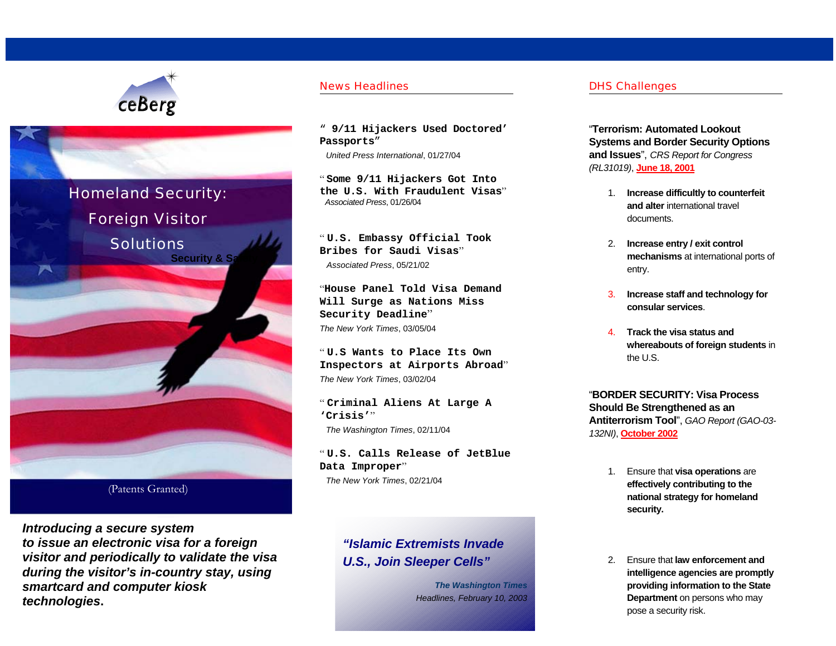



(Patents Granted)

*Introducing a secure system to issue an electronic visa for a foreign visitor and periodically to validate the visa during the visitor's in-country stay, using smartcard and computer kiosk technologies***.** 

### News Headlines

" **9/11 Hijackers Used Doctored' Passports**"

*United Press International*, 01/27/04

" **Some 9/11 Hijackers Got Into the U.S. With Fraudulent Visas**" *Associated Press*, 01/26/04

" **U.S. Embassy Official Took Bribes for Saudi Visas**"*Associated Press*, 05/21/02

"**House Panel Told Visa Demand Will Surge as Nations Miss Security Deadline**" *The New York Times*, 03/05/04

" **U.S Wants to Place Its Own Inspectors at Airports Abroad**" *The New York Times*, 03/02/04

" **Criminal Aliens At Large A 'Crisis'**" *The Washington Times*, 02/11/04

" **U.S. Calls Release of JetBlue Data Improper**" *The New York Times*, 02/21/04

# *"Islamic Extremists Invade U.S., Join Sleeper Cells"*

*The Washington Times Headlines, February 10, 2003*

### DHS Challenges

"**Terrorism: Automated Lookout Systems and Border Security Options and Issues**", *CRS Report for Congress (RL31019)*, **June 18, 2001** 

- 1. **Increase difficultly to counterfeit and alter** international travel documents.
- 2. **Increase entry / exit control mechanisms** at international ports of entry.
- 3. **Increase staff and technology for consular services**.
- 4. **Track the visa status andwhereabouts of foreign students** in the U.S.

"**BORDER SECURITY: Visa Process Should Be Strengthened as an Antiterrorism Tool**", *GAO Report (GAO-03- 132NI)*, **October 2002**

- 1. Ensure that **visa operations** are **effectively contributing to the national strategy for homeland security.**
- 2. Ensure that **law enforcement and intelligence agencies are promptly providing information to the State Department** on persons who may pose a security risk.